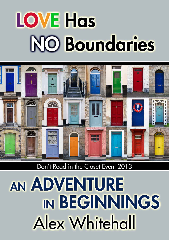# **LOVE Has NO Boundaries**



### Don't Read in the Closet Event 2013

## AN ADVENTURE IN BEGINNINGS **Alex Whitehall**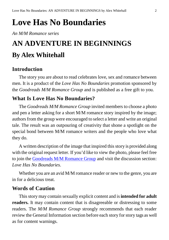### **Love Has No Boundaries**

*An M/M Romance series*

### **AN ADVENTURE IN BEGINNINGS By Alex Whitehall**

### **Introduction**

The story you are about to read celebrates love, sex and romance between men. It is a product of the *Love Has No Boundaries* promotion sponsored by the *Goodreads M/M Romance Group* and is published as a free gift to you.

### **What Is Love Has No Boundaries?**

The *Goodreads M/M Romance Group* invited members to choose a photo and pen a letter asking for a short M/M romance story inspired by the image; authors from the group were encouraged to select a letter and write an original tale. The result was an outpouring of creativity that shone a spotlight on the special bond between M/M romance writers and the people who love what they do.

A written description of the image that inspired this story is provided along with the original request letter. If you'd like to view the photo, please feel free to join the [Goodreads M/M Romance Group](http://www.goodreads.com/group/show/20149-m-m-romance) and visit the discussion section: *Love Has No Boundaries*.

Whether you are an avid M/M romance reader or new to the genre, you are in for a delicious treat.

#### **Words of Caution**

This story may contain sexually explicit content and is **intended for adult readers.** It may contain content that is disagreeable or distressing to some readers. The *M/M Romance Group* strongly recommends that each reader review the General Information section before each story for story tags as well as for content warnings.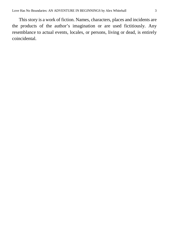This story is a work of fiction. Names, characters, places and incidents are the products of the author's imagination or are used fictitiously. Any resemblance to actual events, locales, or persons, living or dead, is entirely coincidental.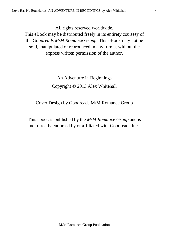All rights reserved worldwide.

This eBook may be distributed freely in its entirety courtesy of the *Goodreads M/M Romance Group*. This eBook may not be sold, manipulated or reproduced in any format without the express written permission of the author.

### An Adventure in Beginnings Copyright © 2013 Alex Whitehall

#### Cover Design by Goodreads M/M Romance Group

This ebook is published by the *M/M Romance Group* and is not directly endorsed by or affiliated with Goodreads Inc.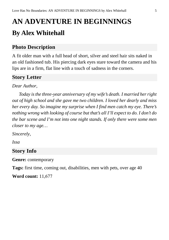### **AN ADVENTURE IN BEGINNINGS By Alex Whitehall**

### **Photo Description**

A fit older man with a full head of short, silver and steel hair sits naked in an old fashioned tub. His piercing dark eyes stare toward the camera and his lips are in a firm, flat line with a touch of sadness in the corners.

### **Story Letter**

*Dear Author,*

*Today is the three-year anniversary of my wife's death. I married her right out of high school and she gave me two children. I loved her dearly and miss her every day. So imagine my surprise when I find men catch my eye. There's nothing wrong with looking of course but that's all I'll expect to do. I don't do the bar scene and I'm not into one night stands. If only there were some men closer to my age…*

*Sincerely,*

*Issa*

### **Story Info**

**Genre:** contemporary

**Tags:** first time, coming out, disabilities, men with pets, over age 40

**Word count:** 11,677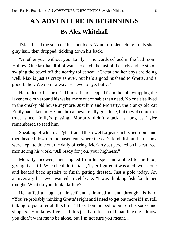### **AN ADVENTURE IN BEGINNINGS By Alex Whitehall**

Tyler rinsed the soap off his shoulders. Water droplets clung to his short gray hair, then dropped, tickling down his back.

"Another year without you, Emily." His words echoed in the bathroom. Hollow. One last handful of water to catch the last of the suds and he stood, swiping the towel off the nearby toilet seat. "Gretta and her boys are doing well. Max is just as crazy as ever, but he's a good husband to Gretta, and a good father. We don't always see eye to eye, but…"

He trailed off as he dried himself and stepped from the tub, wrapping the lavender cloth around his waist, more out of habit than need. No one else lived in the creaky old house anymore. Just him and Moriarty, the cranky old cat Emily had taken in. He and the cat never really got along, but they'd come to a truce since Emily's passing. Moriarty didn't attack as long as Tyler remembered to feed him.

Speaking of which… Tyler traded the towel for jeans in his bedroom, and then headed down to the basement, where the cat's food dish and litter box were kept, to dole out the daily offering. Moriarty sat perched on his cat tree, monitoring his work. "All ready for you, your highness."

Moriarty meowed, then hopped from his spot and ambled to the food, giving it a sniff. When he didn't attack, Tyler figured it was a job well-done and headed back upstairs to finish getting dressed. Just a polo today. An anniversary he never wanted to celebrate. "I was thinking fish for dinner tonight. What do you think, darling?"

He huffed a laugh at himself and skimmed a hand through his hair. "You're probably thinking Gretta's right and I need to get out more if I'm still talking to you after all this time." He sat on the bed to pull on his socks and slippers. "You know I've tried. It's just hard for an old man like me. I know you didn't want me to be alone, but I'm not sure you meant…"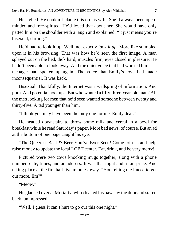He sighed. He couldn't blame this on his wife. She'd always been openminded and free-spirited. He'd loved that about her. She would have only patted him on the shoulder with a laugh and explained, "It just means you're bisexual, darling."

He'd had to look it up. Well, not exactly *look it up*. More like stumbled upon it in his browsing. That was how he'd seen the first image. A man splayed out on the bed, dick hard, muscles firm, eyes closed in pleasure. He hadn't been able to look away. And the quiet voice that had worried him as a teenager had spoken up again. The voice that Emily's love had made inconsequential. It was back.

Bisexual. Thankfully, the Internet was a wellspring of information. And porn. And potential hookups. But who wanted a fifty-three-year-old man? All the men looking for men that he'd seen wanted someone between twenty and thirty-five. A tad younger than him.

"I think you may have been the only one for me, Emily dear."

He headed downstairs to throw some milk and cereal in a bowl for breakfast while he read Saturday's paper. More bad news, of course. But an ad at the bottom of one page caught his eye.

"The Queerest Beef & Beer You've Ever Seen! Come join us and help raise money to update the local LGBT center. Eat, drink, and be very merry!"

Pictured were two cows knocking mugs together, along with a phone number, date, times, and an address. It was that night and a fair price. And taking place at the fire hall five minutes away. "You telling me I need to get out more, Em?"

"Meow."

He glanced over at Moriarty, who cleaned his paws by the door and stared back, unimpressed.

"Well, I guess it can't hurt to go out this one night."

\*\*\*\*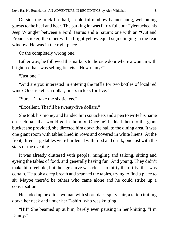Outside the brick fire hall, a colorful rainbow banner hung, welcoming guests to the beef and beer. The parking lot was fairly full, but Tyler tucked his Jeep Wrangler between a Ford Taurus and a Saturn; one with an "Out and Proud" sticker, the other with a bright yellow equal sign clinging in the rear window. He was in the right place.

Or the completely wrong one.

Either way, he followed the markers to the side door where a woman with bright red hair was selling tickets. "How many?"

"Just one."

"And are you interested in entering the raffle for two bottles of local red wine? One ticket is a dollar, or six tickets for five."

"Sure, I'll take the six tickets."

"Excellent. That'll be twenty-five dollars."

She took his money and handed him six tickets and a pen to write his name on each half that would go in the mix. Once he'd added them to the giant bucket she provided, she directed him down the hall to the dining area. It was one giant room with tables lined in rows and covered in white linens. At the front, three large tables were burdened with food and drink, one just with the stars of the evening.

It was already cluttered with people, mingling and talking, sitting and eyeing the tables of food, and generally having fun. And young. They didn't make him feel old, but the age curve was closer to thirty than fifty, that was certain. He took a deep breath and scanned the tables, trying to find a place to sit. Maybe there'd be others who came alone and he could strike up a conversation.

He ended up next to a woman with short black spiky hair, a tattoo trailing down her neck and under her T-shirt, who was knitting.

"Hi!" She beamed up at him, barely even pausing in her knitting. "I'm Danny."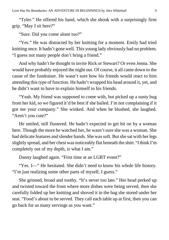"Tyler." He offered his hand, which she shook with a surprisingly firm grip. "May I sit here?"

"Sure. Did you come alone too?"

"Yes." He was distracted by her knitting for a moment. Emily had tried knitting once. It hadn't gone well. This young lady obviously had no problem. "I guess not many people don't bring a friend."

And why hadn't he thought to invite Rick or Stewart? Or even Jenna. She would have probably enjoyed the night out. Of course, it all came down to the cause of the fundraiser. He wasn't sure how his friends would react to him attending this type of function. He hadn't wrapped his head around it, yet, and he didn't want to have to explain himself to his friends.

"Yeah. My friend was supposed to come with, but picked up a nasty bug from her kid, so we figured it'd be best if she bailed. I'm not complaining if it got me your company." She winked. And when he blushed, she laughed. "Aren't you cute?"

He smiled, still flustered. He hadn't expected to get hit on by a woman here. Though the more he watched her, he wasn't sure she was a woman. She had delicate features and slender hands. She was soft. But she sat with her legs slightly spread, and her chest was noticeably flat beneath the shirt. "I think I'm completely out of my depth, is what I am."

Danny laughed again. "First time at an LGBT event?"

"Yes. I—" He hesitated. She didn't need to know his whole life history. "I'm just realizing some other parts of myself, I guess."

She grinned, broad and toothy. "It's never too late." Her head perked up and twisted toward the front where more dishes were being served, then she carefully folded up her knitting and shoved it in the bag she stored under her seat. "Food's about to be served. They call each table up at first, then you can go back for as many servings as you want."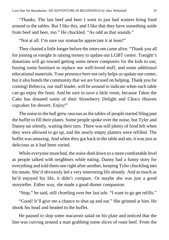"Thanks. The last beef and beer I went to just had waiters bring food around to the tables. But I like this, and I like that they have something aside from beef and beer, too." He chuckled. "As odd as that sounds."

"Not at all. I'm sure our stomachs appreciate it at least!"

They chatted a little longer before the intercom came alive. "Thank you all for joining us tonight in raising money to update our LGBT center. Tonight's donations will go toward getting some newer computers for the kids to use, buying some furniture to replace our well-loved stuff, and some additional educational materials. Your presence here not only helps us update our center, but it also bonds the community that we are focused on helping. Thank you for coming! Rebecca, our staff leader, will be around to indicate when each table can go enjoy the feast. And be sure to save a little room, because Takes the Cake has donated some of their Strawberry Delight and Choco Heaven cupcakes for dessert. Enjoy!"

The noise in the hall grew raucous as the tables of people started filing past the buffet to fill their plates. Some people spoke over the noise, but Tyler and Danny sat silently, waiting their turn. There was still plenty of food left when they were allowed to go up, and the nearly empty platters were refilled. The buffet was amazing. And when they got back to the table and ate, it was just as delicious as it had been varied.

While everyone munched, the noise died down to a more comfortable level as people talked with neighbors while eating. Danny had a funny story for everything and told them one right after another, keeping Tyler chuckling into his meats. She'd obviously led a very interesting life already. And as much as he'd enjoyed his life, it didn't compare. Or maybe she was just a good storyteller. Either way, she made a good dinner companion.

"Stop," he said, still chortling over her last tale. "I want to go get refills."

"Good! It'll give me a chance to shut up and eat." She grinned at him. He shook his head and headed to the buffet.

He paused to slop some macaroni salad on his plate and noticed that the line was curving around a man grabbing some slices of roast beef. From the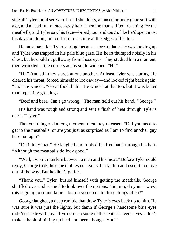side all Tyler could see were broad shoulders, a muscular body gone soft with age, and a head full of steel-gray hair. Then the man shifted, reaching for the meatballs, and Tyler saw his face—broad, too, and tough, like he'd spent most his days outdoors, but curled into a smile at the edges of his lips.

He must have felt Tyler staring, because a breath later, he was looking up and Tyler was trapped in his pale blue gaze. His heart thumped noisily in his chest, but he couldn't pull away from those eyes. They studied him a moment, then wrinkled at the corners as his smile widened. "Hi."

"Hi." And still they stared at one another. At least Tyler was staring. He cleared his throat, forced himself to look away—and looked right back again. "Hi." He winced. "Great food, huh?" He winced at that too, but it was better than repeating greetings.

"Beef and beer. Can't go wrong." The man held out his hand. "George."

His hand was rough and strong and sent a flush of heat through Tyler's chest. "Tyler."

The touch lingered a long moment, then they released. "Did you need to get to the meatballs, or are you just as surprised as I am to find another guy here our age?"

"Definitely that." He laughed and rubbed his free hand through his hair. "Although the meatballs do look good."

"Well, I won't interfere between a man and his meat." Before Tyler could reply, George took the cane that rested against his far hip and used it to move out of the way. But he didn't go far.

"Thank you." Tyler busied himself with getting the meatballs. George shuffled over and seemed to look over the options. "So, um, do you— wow, this is going to sound lame—but do you come to these things often?"

George laughed, a deep rumble that drew Tyler's eyes back up to him. He was sure it was just the lights, but damn if George's handsome blue eyes didn't sparkle with joy. "I've come to some of the center's events, yes. I don't make a habit of hitting up beef and beers though. You?"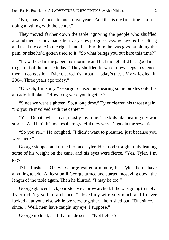"No, I haven't been to one in five years. And this is my first time… um… doing anything with the center."

They moved farther down the table, ignoring the people who shuffled around them as they made their very slow progress. George favored his left leg and used the cane in the right hand. If it hurt him, he was good at hiding the pain, or else he'd gotten used to it. "So what brings you out here this time?"

"I saw the ad in the paper this morning and I... I thought it'd be a good idea to get out of the house today." They shuffled forward a few steps in silence, then hit congestion. Tyler cleared his throat. "Today's the… My wife died. In 2004. Three years ago today."

"Oh. Oh, I'm sorry." George focused on spearing some pickles onto his already-full plate. "How long were you together?"

"Since we were eighteen. So, a long time." Tyler cleared his throat again. "So you're involved with the center?"

"Yes. Donate what I can, mostly my time. The kids like hearing my war stories. And I think it makes them grateful they weren't gay in the seventies."

"So you're..." He coughed. "I didn't want to presume, just because you were here."

George stopped and turned to face Tyler. He stood straight, only leaning some of his weight on the cane, and his eyes were fierce. "Yes, Tyler, I'm gay."

Tyler flushed. "Okay." George waited a minute, but Tyler didn't have anything to add. At least until George turned and started moseying down the length of the table again. Then he blurted, "I may be too."

George glanced back, one steely eyebrow arched. If he was going to reply, Tyler didn't give him a chance. "I loved my wife very much and I never looked at anyone else while we were together," he rushed out. "But since… since... Well, men have caught my eye, I suppose."

George nodded, as if that made sense. "Not before?"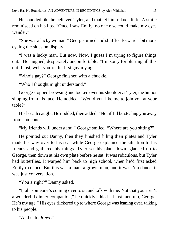He sounded like he believed Tyler, and that let him relax a little. A smile reminisced on his lips. "Once I saw Emily, no one else could make my eyes wander."

"She was a lucky woman." George turned and shuffled forward a bit more, eyeing the sides on display.

"I was a lucky man. But now. Now, I guess I'm trying to figure things out." He laughed, desperately uncomfortable. "I'm sorry for blurting all this out. I just, well, you're the first guy my age…"

"Who's gay?" George finished with a chuckle.

"Who I thought might understand."

George stopped browsing and looked over his shoulder at Tyler, the humor slipping from his face. He nodded. "Would you like me to join you at your table?"

His breath caught. He nodded, then added, "Not if I'd be stealing you away from someone."

"My friends will understand." George smiled. "Where are you sitting?"

He pointed out Danny, then they finished filling their plates and Tyler made his way over to his seat while George explained the situation to his friends and gathered his things. Tyler set his plate down, glanced up to George, then down at his own plate before he sat. It was ridiculous, but Tyler had butterflies. It warped him back to high school, when he'd first asked Emily to dance. But this was a man, a grown man, and it wasn't a dance, it was just conversation.

"You a'right?" Danny asked.

"I, uh, someone's coming over to sit and talk with me. Not that you aren't a wonderful dinner companion," he quickly added. "I just met, um, George. He's my age." His eyes flickered up to where George was leaning over, talking to his people.

"And cute. *Rawr*."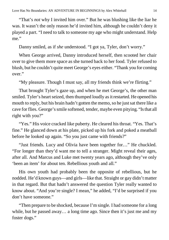"That's *not* why I invited him over." But he was blushing like the liar he was. It wasn't the only reason he'd invited him, although he couldn't deny it played a part. "I need to talk to someone my age who might understand. Help me."

Danny smiled, as if *she* understood. "I got ya, Tyler, don't worry."

When George arrived, Danny introduced herself, then scooted her chair over to give them more space as she turned back to her food. Tyler refused to blush, but he couldn't quite meet George's eyes either. "Thank you for coming over."

"My pleasure. Though I must say, all my friends think we're flirting."

That brought Tyler's gaze up, and when he met George's, the other man smiled. Tyler's heart seized, then thumped loudly as it restarted. He opened his mouth to reply, but his brain hadn't gotten the memo, so he just sat there like a cave for flies. George's smile softened, tender, maybe even pitying. "Is that all right with you?"

"Yes." His voice cracked like puberty. He cleared his throat. "Yes. That's fine." He glanced down at his plate, picked up his fork and poked a meatball before he looked up again. "So you just came with friends?"

"Just friends. Lucy and Olivia have been together for…" He chuckled. "For longer than they'd want me to tell a stranger. Might reveal their ages, after all. And Marcus and Luke met twenty years ago, although they've only 'been an item' for about ten. Rebellious youth and all."

His own youth had probably been the opposite of rebellious, but he nodded. He'd known guys—and girls—like that. Straight or gay didn't matter in that regard. But that hadn't answered the question Tyler really wanted to know about. "And you're single? I mean," he added, "I'd be surprised if you don't have someone."

"Then prepare to be shocked, because I'm single. I had someone for a long while, but he passed away… a long time ago. Since then it's just me and my foster dogs."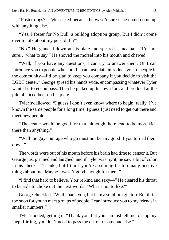"Foster dogs?" Tyler asked because he wasn't sure if he could come up with anything else.

"Yes, I foster for No Bull, a bulldog adoption group. But I didn't come over to talk about my pets, did I?"

"No." He glanced down at his plate and speared a meatball. "I'm not sure… what to say." He shoved the morsel into his mouth and chewed.

"Well, if you have any questions, I can try to answer them. Or I can introduce you to people who could. I can just plain introduce you to people in the community—I'd be glad to keep you company if you decide to visit the LGBT center." George spread his hands wide, encompassing whatever Tyler wanted it to encompass. Then he picked up his own fork and prodded at the pile of sliced beef on his plate.

Tyler swallowed. "I guess I don't even know where to begin, really. I've known the same people for a long time. I guess I just need to get out there and meet new people."

"The center would be good for that, although there tend to be more kids there than anything."

"Well the guys our age who go must not be any good if you turned them down."

The words were out of his mouth before his brain had time to censor it. But George just grinned and laughed, and if Tyler was right, he saw a bit of color in his cheeks. "Thanks, but I think you're assuming far too many positive things about me. Maybe I wasn't good enough for them."

"I find that hard to believe. You're kind and sexy—" He cleared his throat to be able to choke out the next words. "What's not to like?"

George chuckled. "Well, thank you, but I am a stubborn git, too. But if it's too soon for you to meet groups of people, I can introduce you to my friends in smaller numbers."

Tyler nodded, getting it. "Thank you, but you can just tell me to stop my inept flirting, you don't need to pass me off onto someone else."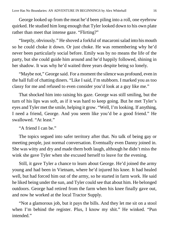George looked up from the meat he'd been piling into a roll, one eyebrow quirked. He studied him long enough that Tyler looked down to his own plate rather than meet that intense gaze. "Flirting?"

"Ineptly, obviously." He shoved a forkful of macaroni salad into his mouth so he could choke it down. Or just choke. He was remembering why he'd never been particularly social before. Emily was by no means the life of the party, but she could guide him around and he'd happily followed, shining in her shadow. It was why he'd waited three years despite being so lonely.

"Maybe not," George said. For a moment the silence was profound, even in the hall full of chatting diners. "Like I said, I'm stubborn. I marked you as too classy for me and refused to even consider you'd look at a guy like me."

That shocked him into raising his gaze. George was still smiling, but the turn of his lips was soft, as if it was hard to keep going. But he met Tyler's eyes and Tyler met the smile, helping it grow. "Well, I'm looking. If anything, I need a friend, George. And you seem like you'd be a good friend." He swallowed. "At least."

"A friend I can be."

The topics segued into safer territory after that. No talk of being gay or meeting people, just normal conversation. Eventually even Danny joined in. She was witty and dry and made them both laugh, although he didn't miss the wink she gave Tyler when she excused herself to leave for the evening.

Still, it gave Tyler a chance to learn about George. He'd joined the army young and had been in Vietnam, where he'd injured his knee. It had healed well, but had forced him out of the army, so he started in farm work. He said he liked being under the sun, and Tyler could see that about him. He belonged outdoors. George had retired from the farm when his knee finally gave out, and now he worked at the local Tractor Supply.

"Not a glamorous job, but it pays the bills. And they let me sit on a stool when I'm behind the register. Plus, I know my shit." He winked. "Pun intended."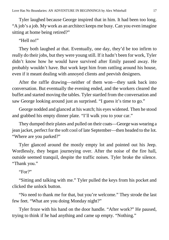Tyler laughed because George inspired that in him. It had been too long. "A job's a job. My work as an architect keeps me busy. Can you even imagine sitting at home being retired?"

#### "Hell no!"

They both laughed at that. Eventually, one day, they'd be too infirm to really do their jobs, but they were young still. If it hadn't been for work, Tyler didn't know how he would have survived after Emily passed away. He probably wouldn't have. But work kept him from rattling around his house, even if it meant dealing with annoyed clients and peevish designers.

After the raffle drawing—neither of them won—they sank back into conversation. But eventually the evening ended, and the workers cleared the buffet and started moving the tables. Tyler startled from the conversation and saw George looking around just as surprised. "I guess it's time to go."

George nodded and glanced at his watch; his eyes widened. Then he stood and grabbed his empty dinner plate. "I'll walk you to your car."

They dumped their plates and pulled on their coats—George was wearing a jean jacket, perfect for the soft cool of late September—then headed to the lot. "Where are you parked?"

Tyler glanced around the mostly empty lot and pointed out his Jeep. Wordlessly, they began journeying over. After the noise of the fire hall, outside seemed tranquil, despite the traffic noises. Tyler broke the silence. "Thank you."

"For?"

"Sitting and talking with me." Tyler pulled the keys from his pocket and clicked the unlock button.

"No need to thank me for that, but you're welcome." They strode the last few feet. "What are you doing Monday night?"

Tyler froze with his hand on the door handle. "After work?" He paused, trying to think if he had anything and came up empty. "Nothing."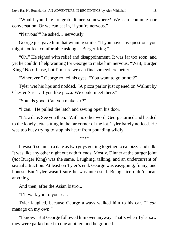"Would you like to grab dinner somewhere? We can continue our conversation. Or we can eat in, if you're nervous."

"Nervous?" he asked… nervously.

George just gave him that winning smile. "If you have any questions you might not feel comfortable asking at Burger King."

"Oh." He sighed with relief and disappointment. It was far too soon, and yet he couldn't help wanting for George to make him nervous. "Wait, Burger King? No offense, but I'm sure we can find somewhere better."

"Wherever." George rolled his eyes. "You want to go or not?"

Tyler wet his lips and nodded. "A pizza parlor just opened on Walnut by Chester Street. If you like pizza. We could meet there."

"Sounds good. Can you make six?"

"I can." He pulled the latch and swung open his door.

"It's a date. See you then." With no other word, George turned and headed to the lonely Jetta sitting in the far corner of the lot. Tyler barely noticed. He was too busy trying to stop his heart from pounding wildly.

\*\*\*\*

It wasn't so much a date as two guys getting together to eat pizza and talk. It was like any other night out with friends. Mostly. Dinner at the burger joint (*not* Burger King) was the same. Laughing, talking, and an undercurrent of sexual attraction. At least on Tyler's end. George was easygoing, funny, and honest. But Tyler wasn't sure he was interested. Being nice didn't mean anything.

And then, after the Asian bistro...

"I'll walk you to your car."

Tyler laughed, because George always walked him to his car. "I *can* manage on my own."

"I know." But George followed him over anyway. That's when Tyler saw they were parked next to one another, and he grinned.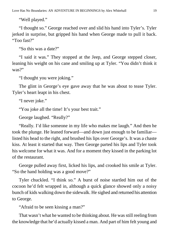"Well played."

"I thought so." George reached over and slid his hand into Tyler's. Tyler jerked in surprise, but gripped his hand when George made to pull it back. "Too fast?"

"So this was a date?"

"I said it was." They stopped at the Jeep, and George stepped closer, leaning his weight on his cane and smiling up at Tyler. "You didn't think it was?"

"I thought you were joking."

The glint in George's eye gave away that he was about to tease Tyler. Tyler's heart leapt in his chest.

"I never joke."

"You joke all the time! It's your best trait."

George laughed. "Really?"

"Really. I'd like someone in my life who makes me laugh." And then he took the plunge. He leaned forward—and down just enough to be familiar listed his head to the right, and brushed his lips over George's. It was a chaste kiss. At least it started that way. Then George parted his lips and Tyler took his welcome for what it was. And for a moment they kissed in the parking lot of the restaurant.

George pulled away first, licked his lips, and crooked his smile at Tyler. "So the hand holding was a good move?"

Tyler chuckled. "I think so." A burst of noise startled him out of the cocoon he'd felt wrapped in, although a quick glance showed only a noisy bunch of kids walking down the sidewalk. He sighed and returned his attention to George.

"Afraid to be seen kissing a man?"

That wasn't what he wanted to be thinking about. He was still reeling from the knowledge that he'd actually kissed a man. And part of him felt young and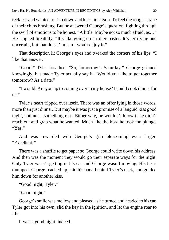reckless and wanted to lean down and kiss him again. To feel the rough scrape of their chins brushing. But he answered George's question, fighting through the swirl of emotions to be honest. "A little. Maybe not so much afraid, as…" He laughed breathily. "It's like going on a rollercoaster. It's terrifying and uncertain, but that doesn't mean I won't enjoy it."

That description lit George's eyes and tweaked the corners of his lips. "I like that answer."

"Good." Tyler breathed. "So, tomorrow's Saturday." George grinned knowingly, but made Tyler actually say it. "Would you like to get together tomorrow? As a date."

"I would. Are you up to coming over to my house? I could cook dinner for us."

Tyler's heart tripped over itself. There was an offer lying in those words, more than just dinner. But maybe it was just a promise of a languid kiss good night, and not... something else. Either way, he wouldn't know if he didn't reach out and grab what he wanted. Much like the kiss, he took the plunge. "Yes."

And was rewarded with George's grin blossoming even larger. "Excellent!"

There was a shuffle to get paper so George could write down his address. And then was the moment they would go their separate ways for the night. Only Tyler wasn't getting in his car and George wasn't moving. His heart thumped. George reached up, slid his hand behind Tyler's neck, and guided him down for another kiss.

"Good night, Tyler."

"Good night."

George's smile was mellow and pleased as he turned and headed to his car. Tyler got into his own, slid the key in the ignition, and let the engine roar to life.

It was a good night, indeed.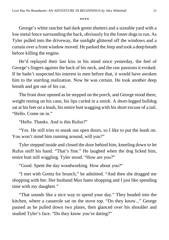#### \*\*\*\*

George's white rancher had dark green shutters and a sizeable yard with a low metal fence surrounding the back, obviously for the foster dogs to run. As Tyler pulled into the driveway, the sunlight glittered off the windows and a curtain over a front window moved. He parked the Jeep and took a deep breath before killing the engine.

He'd replayed their last kiss in his mind since yesterday, the feel of George's fingers against the back of his neck, and the raw passions it evoked. If he hadn't suspected his interest in men before that, it would have awoken him to the startling realization. Now he was certain. He took another deep breath and got out of his car.

The front door opened as he stepped on the porch, and George stood there, weight resting on his cane, his lips curled in a smirk. A short-legged bulldog sat at his feet on a leash, his entire butt wagging with his short excuse of a tail. "Hello. Come on in."

"Hello. Thanks. And is this Rufus?"

"Yes. He still tries to sneak out open doors, so I like to put the leash on. You won't mind him running around, will you?"

Tyler stepped inside and closed the door behind him, kneeling down to let Rufus sniff his hand. "That's fine." He laughed when the dog licked him, entire butt still wiggling. Tyler stood. "How are you?"

"Good. Spent the day woodworking. How about you?"

"I met with Gretta for brunch," he admitted. "And then she dragged me shopping with her. Her husband Max hates shopping and I just like spending time with my daughter."

"That sounds like a nice way to spend your day." They headed into the kitchen, where a casserole sat on the stove top. "Do they know..." George paused as he pulled down two plates, then glanced over his shoulder and studied Tyler's face. "Do they know you're dating?"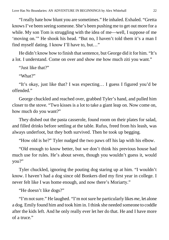"I really hate how blunt you are sometimes." He inhaled. Exhaled. "Gretta knows I've been seeing someone. She's been pushing me to get out more for a while. My son Tom is struggling with the idea of me—well, I suppose of me 'moving on.'" He shook his head. "But no, I haven't told them it's a man I find myself dating. I know I'll have to, but…"

He didn't know how to finish that sentence, but George did it for him. "It's a lot. I understand. Come on over and show me how much ziti you want."

"Just like that?"

"What?"

"It's okay, just like that? I was expecting… I guess I figured you'd be offended."

George chuckled and reached over, grabbed Tyler's hand, and pulled him closer to the stove. "Two kisses is a lot to take a giant leap on. Now come on, how much do you want?"

They dished out the pasta casserole, found room on their plates for salad, and filled drinks before settling at the table. Rufus, freed from his leash, was always underfoot, but they both survived. Then he took up begging.

"How old is he?" Tyler nudged the two paws off his lap with his elbow.

"Old enough to know better, but we don't think his previous house had much use for rules. He's about seven, though you wouldn't guess it, would you?"

Tyler chuckled, ignoring the pouting dog staring up at him. "I wouldn't know. I haven't had a dog since old Bonkers died my first year in college. I never felt like I was home enough, and now there's Moriarty."

"He doesn't like dogs?"

"I'm not sure." He laughed. "I'm not sure he particularly likes *me*, let alone a dog. Emily found him and took him in. I think she needed someone to coddle after the kids left. And he only really ever let her do that. He and I have more of a truce."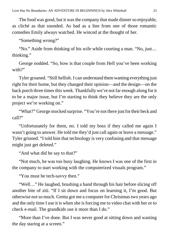The food was good, but it was the company that made dinner so enjoyable, as cliché as that sounded. As bad as a line from one of those romantic comedies Emily always watched. He winced at the thought of her.

"Something wrong?"

"No." Aside from thinking of his wife while courting a man. "No, just… thinking."

George nodded. "So, how is that couple from Hell you've been working with $?$ "

Tyler groaned. "Still hellish. I can understand them wanting everything just right for their home, but they changed their opinion—and the design—on the back porch three times this week. Thankfully we're not far enough along for it to be a major issue, but I'm starting to think they believe they are the only project we're working on."

"What?" George mocked surprise. "You're not there just for their beck and call?"

"Unfortunately for them, no. I told my boss if they called me again I wasn't going to answer. He told me they'd just call again or leave a message." Tyler grinned. "I told him that technology is very confusing and that message might just get deleted."

"And what did he say to that?"

"Not much, he was too busy laughing. He knows I was one of the first in the company to start working with the computerized visuals program."

"You must be tech-savvy then."

"Well…" He laughed, brushing a hand through his hair before slicing off another bite of ziti. "If I sit down and focus on learning it, I'm good. But otherwise not so much. Gretta got me a computer for Christmas two years ago and the only time I use it is when she is forcing me to video chat with her or to check e-mail. The grandkids use it more than I do."

"More than I've done. But I was never good at sitting down and wasting the day staring at a screen."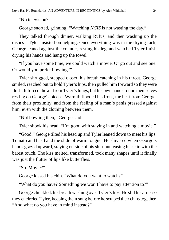"No television?"

George snorted, grinning. "Watching *NCIS* is not wasting the day."

They talked through dinner, walking Rufus, and then washing up the dishes—Tyler insisted on helping. Once everything was in the drying rack, George leaned against the counter, resting his leg, and watched Tyler finish drying his hands and hang up the towel.

"If you have some time, we could watch a movie. Or go out and see one. Or would you prefer bowling?"

Tyler shrugged, stepped closer, his breath catching in his throat. George smiled, reached out to hold Tyler's hips, then pulled him forward so they were flush. It forced the air from Tyler's lungs, but his own hands found themselves resting on George's biceps. Warmth flooded his front, the heat from George, from their proximity, and from the feeling of a man's penis pressed against him, even with the clothing between them.

"Not bowling then," George said.

Tyler shook his head. "I'm good with staying in and watching a movie."

"Good." George tilted his head up and Tyler leaned down to meet his lips. Tomato and basil and the slide of warm tongue. He shivered when George's hands grazed upward, staying outside of his shirt but teasing his skin with the barest touch. The kiss melted, transformed, took many shapes until it finally was just the flutter of lips like butterflies.

"So. Movie?"

George kissed his chin. "What do you want to watch?"

"What do you have? Something we won't have to pay attention to?"

George chuckled, his breath washing over Tyler's lips. He slid his arms so they encircled Tyler, keeping them snug before he scraped their chins together. "And what do you have in mind instead?"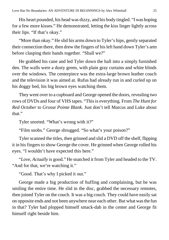His heart pounded, his head was dizzy, and his body tingled. "I was hoping for a few more kisses." He demonstrated, letting the kiss linger lightly across their lips. "If that's okay."

"More than okay." He slid his arms down to Tyler's hips, gently separated their connection there, then drew the fingers of his left hand down Tyler's arm before clasping their hands together. "Shall we?"

He grabbed his cane and led Tyler down the hall into a simply furnished den. The walls were a dusty green, with plain gray curtains and white blinds over the windows. The centerpiece was the extra-large brown leather couch and the television it was aimed at. Rufus had already run in and curled up on his doggy bed, his big brown eyes watching them.

They went over to a cupboard and George opened the doors, revealing two rows of DVDs and four of VHS tapes. "This is everything. From *The Hunt for Red October* to *Grosse Pointe Blank*. Just don't tell Marcus and Luke about that."

Tyler snorted. "What's wrong with it?"

"Film snobs." George shrugged. "So what's your poison?"

Tyler scanned the titles, then grinned and slid a DVD off the shelf, flipping it in his fingers to show George the cover. He grinned when George rolled his eyes. "I wouldn't have expected this here."

"*Love, Actually* is good." He snatched it from Tyler and headed to the TV. "And for that, we're watching it."

"Good. That's why I picked it out."

George made a big production of huffing and complaining, but he was smiling the entire time. He slid in the disc, grabbed the necessary remotes, then joined Tyler on the couch. It was a big couch. They could have easily sat on opposite ends and not been anywhere near each other. But what was the fun in that? Tyler had plopped himself smack-dab in the center and George fit himself right beside him.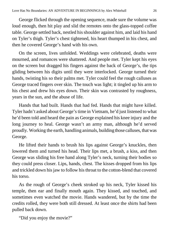George flicked through the opening sequence, made sure the volume was loud enough, then hit play and slid the remotes onto the glass-topped coffee table. George settled back, nestled his shoulder against him, and laid his hand on Tyler's thigh. Tyler's chest tightened, his heart thumped in his chest, and then he covered George's hand with his own.

On the screen, lives unfolded. Weddings were celebrated, deaths were mourned, and romances were shattered. And people met. Tyler kept his eyes on the screen but dragged his fingers against the back of George's, the tips gliding between his digits until they were interlocked. George turned their hands, twisting his so their palms met. Tyler could feel the rough calluses as George traced fingers over skin. The touch was light; it tingled up his arm to his chest and drew his eyes down. Their skin was contrasted by roughness, years in the sun, and the abuse of life.

Hands that had built. Hands that had fed. Hands that might have killed. Tyler hadn't asked about George's time in Vietnam, he'd just listened to what he'd been told and heard the pain as George explained his knee injury and the long journey to heal. George wasn't an army man, although he'd served proudly. Working the earth, handling animals, building those calluses, that was George.

He lifted their hands to brush his lips against George's knuckles, then lowered them and turned his head. Their lips met, a brush, a kiss, and then George was sliding his free hand along Tyler's neck, turning their bodies so they could press closer. Lips, hands, chest. The kisses dropped from his lips and trickled down his jaw to follow his throat to the cotton-blend that covered his torso.

As the rough of George's cheek stroked up his neck, Tyler kissed his temple, then ear and finally mouth again. They kissed, and touched, and sometimes even watched the movie. Hands wandered, but by the time the credits rolled, they were both still dressed. At least once the shirts had been pulled back down.

"Did you enjoy the movie?"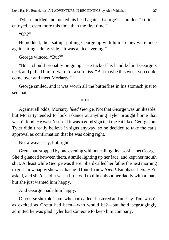Tyler chuckled and tucked his head against George's shoulder. "I think I enjoyed it even more this time than the first time."

"Oh?"

He nodded, then sat up, pulling George up with him so they were once again sitting side by side. "It was a nice evening."

George winced. "But?"

"But I should probably be going." He tucked his hand behind George's neck and pulled him forward for a soft kiss. "But maybe this week you could come over and meet Moriarty."

George smiled, and it was worth all the butterflies in his stomach just to see that.

\*\*\*\*

Against all odds, Moriarty *liked* George. Not that George was unlikeable, but Moriarty tended to look askance at anything Tyler brought home that wasn't food. He wasn't sure if it was a good sign that the cat liked George, but Tyler didn't really believe in signs anyway, so he decided to take the cat's approval as confirmation that he was doing right.

Not always easy, but right.

Gretta had stopped by one evening without calling first, so she met George. She'd glanced between them, a smile lighting up her face, and kept her mouth shut. At least while George was there. She'd called her father the next morning to gush how happy she was that he'd found a new *friend*. Emphasis hers. He'd asked, and she'd said it was a little odd to think about her daddy with a man, but she just wanted him happy.

And George made him happy.

Of course she told Tom, who had called, flustered and uneasy. Tom wasn't as excited as Gretta had been—who would be?—but he'd begrudgingly admitted he was glad Tyler had someone to keep him company.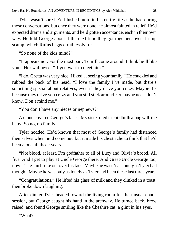Tyler wasn't sure he'd blushed more in his entire life as he had during those conversations, but once they were done, he almost fainted in relief. He'd expected drama and arguments, and he'd gotten acceptance, each in their own way. He told George about it the next time they got together, over shrimp scampi which Rufus begged ruthlessly for.

"So none of the kids mind?"

"It appears not. For the most part. Tom'll come around. I think he'll like you." He swallowed. "If you want to meet him."

"I do. Gretta was very nice. I liked… seeing your family." He chuckled and rubbed the back of his head. "I love the family I've made, but there's something special about relatives, even if they drive you crazy. Maybe it's because they drive you crazy and you still stick around. Or maybe not. I don't know. Don't mind me."

"You don't have any nieces or nephews?"

A cloud covered George's face. "My sister died in childbirth along with the baby. So no, no family."

Tyler nodded. He'd known that most of George's family had distanced themselves when he'd come out, but it made his chest ache to think that he'd been alone all those years.

"Not blood, at least. I'm godfather to all of Lucy and Olivia's brood. All five. And I get to play at Uncle George there. And Great-Uncle George too, now." The sun broke out over his face. Maybe he wasn't as lonely as Tyler had thought. Maybe he was only as lonely as Tyler had been these last three years.

"Congratulations." He lifted his glass of milk and they clinked in a toast, then broke down laughing.

After dinner Tyler headed toward the living room for their usual couch session, but George caught his hand in the archway. He turned back, brow raised, and found George smiling like the Cheshire cat, a glint in his eyes.

"What?"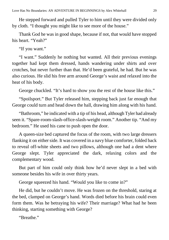He stepped forward and pulled Tyler to him until they were divided only by cloth. "I thought you might like to see more of the house."

Thank God he was in good shape, because if not, that would have stopped his heart. "Yeah?"

"If you want."

"I want." Suddenly he nothing but wanted. All their previous evenings together had kept them dressed, hands wandering under shirts and over crotches, but never further than that. He'd been grateful, he had. But he was also curious. He slid his free arm around George's waist and relaxed into the heat of his body.

George chuckled. "It's hard to show you the rest of the house like this."

"Spoilsport." But Tyler released him, stepping back just far enough that George could turn and head down the hall, drawing him along with his hand.

"Bathroom," he indicated with a tip of his head, although Tyler had already seen it. "Spare-room-slash-office-slash-weight room." Another tip. "And my bedroom." He used his cane to push open the door.

A queen-size bed captured the focus of the room, with two large dressers flanking it on either side. It was covered in a navy blue comforter, folded back to reveal off-white sheets and two pillows, although one had a dent where George slept. Tyler appreciated the dark, relaxing colors and the complementary wood.

But part of him could only think how he'd never slept in a bed with someone besides his wife in over thirty years.

George squeezed his hand. "Would you like to come in?"

He did, but he couldn't move. He was frozen on the threshold, staring at the bed, clamped on George's hand. Words died before his brain could even form them. Was he betraying his wife? Their marriage? What had he been thinking, starting something with George?

"Breathe"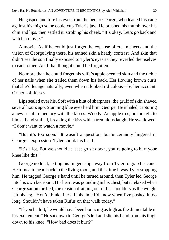He gasped and tore his eyes from the bed to George, who leaned his cane against his thigh so he could cup Tyler's jaw. He brushed his thumb over his chin and lips, then settled it, stroking his cheek. "It's okay. Let's go back and watch a movie."

A movie. As if he could just forget the expanse of cream sheets and the vision of George lying there, his tanned skin a heady contrast. And skin that didn't see the sun finally exposed to Tyler's eyes as they revealed themselves to each other. As if that thought could be forgotten.

No more than he could forget his wife's apple-scented skin and the tickle of her nails when she trailed them down his back. Her flowing brown curls that she'd let age naturally, even when it looked ridiculous—by her account. Or her soft kisses.

Lips sealed over his. Soft with a hint of sharpness, the gruff of skin shaved several hours ago. Stunning blue eyes held him. George. He inhaled, capturing a new scent in memory with the kisses. Woody. An apple tree, he thought to himself and smiled, breaking the kiss with a tremulous laugh. He swallowed. "I don't want to watch a movie."

"But it's too soon." It wasn't a question, but uncertainty lingered in George's expression. Tyler shook his head.

"It's a lot. But we should at least go sit down, you're going to hurt your knee like this."

George nodded, letting his fingers slip away from Tyler to grab his cane. He turned to head back to the living room, and this time it was Tyler stopping him. He tugged George's hand until he turned around, then Tyler led George into his own bedroom. His heart was pounding in his chest, but it relaxed when George sat on the bed, the tension draining out of his shoulders as the weight left his leg. "You'd think after all this time I'd know when I've pushed it too long. Shouldn't have taken Rufus on that walk today."

"If you hadn't, he would have been bouncing as high as the dinner table in his excitement." He sat down to George's left and slid his hand from his thigh down to his knee. "How bad does it hurt?"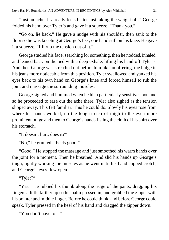"Just an ache. It already feels better just taking the weight off." George folded his hand over Tyler's and gave it a squeeze. "Thank you."

"Go on, lie back." He gave a nudge with his shoulder, then sank to the floor so he was kneeling at George's feet, one hand still on his knee. He gave it a squeeze. "I'll rub the tension out of it."

George studied his face, searching for something, then he nodded, inhaled, and leaned back on the bed with a deep exhale, lifting his hand off Tyler's. And then George was stretched out before him like an offering, the bulge in his jeans more noticeable from this position. Tyler swallowed and yanked his eyes back to his own hand on George's knee and forced himself to rub the joint and massage the surrounding muscles.

George sighed and hummed when he hit a particularly sensitive spot, and so he proceeded to ease out the ache there. Tyler also sighed as the tension slipped away. This felt familiar. This he could do. Slowly his eyes rose from where his hands worked, up the long stretch of thigh to the even more prominent bulge and then to George's hands fisting the cloth of his shirt over his stomach.

"It doesn't hurt, does it?"

"No," he grunted. "Feels good."

"Good." He stopped the massage and just smoothed his warm hands over the joint for a moment. Then he breathed. And slid his hands up George's thigh, lightly working the muscles as he went until his hand cupped crotch, and George's eyes flew open.

"Tyler?"

"Yes." He rubbed his thumb along the ridge of the pants, dragging his fingers a little farther up so his palm pressed in, and grabbed the zipper with his pointer and middle finger. Before he could think, and before George could speak, Tyler pressed in the heel of his hand and dragged the zipper down.

"You don't have to—"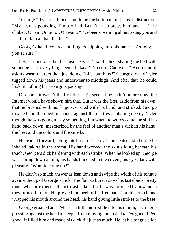"George." Tyler cut him off, undoing the button of his jeans as distraction. "My heart is pounding. I'm terrified. But I'm also pretty hard and I—" He choked. On air. On terror. On want. "I've been dreaming about tasting you and I… I think I can handle this."

George's hand covered the fingers slipping into his pants. "As long as you're sure."

It was ridiculous, but because he wasn't *on* the bed, sharing the bed with someone else, everything seemed okay. "I'm sure. Can we…" And damn if asking wasn't harder than just doing. "Lift your hips?" George did and Tyler tugged down his jeans and underwear to midthigh. And after that, he could look at nothing but George's package.

Of course it wasn't the first dick he'd seen. If he hadn't before now, the Internet would have shown him that. But it was the first, aside from his own, that he brushed with his fingers, circled with his hand, and stroked. George moaned and thumped his hands against the mattress, inhaling deeply. Tyler thought he was going to say something, but when no words came, he slid his hand back down, mesmerized by the feel of another man's dick in his hand, the heat and the colors and the smells.

He leaned forward, letting his breath tease over the heated skin before he inhaled, taking in the aroma. His hand worked, the skin sliding beneath his touch, George's dick hardening with each stroke. When he looked up, George was staring down at him, his hands bunched in the covers, his eyes dark with pleasure. "Want to come up?"

He didn't so much answer as lean down and swipe the width of his tongue against the tip of George's dick. The flavors burst across his taste buds, pretty much what he expected them to taste like—but he was surprised by how much they turned him on. He pressed the heel of his free hand into his crotch and wrapped his mouth around the head, his hand giving little strokes to the base.

George groaned and Tyler let a little more slide into his mouth, his tongue pressing against the head to keep it from moving too fast. It *tasted* good. It *felt* good. It filled him and made his dick fill just as much. He let his tongue slide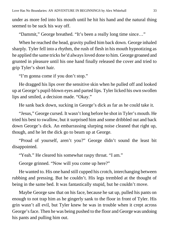under as more fed into his mouth until he hit his hand and the natural thing seemed to be suck his way off.

"Dammit," George breathed. "It's been a really long time since…"

When he reached the head, gravity pulled him back down. George inhaled sharply. Tyler fell into a rhythm, the rush of flesh in his mouth hypnotizing as he applied the same tricks he'd always loved done to him. George groaned and grunted in pleasure until his one hand finally released the cover and tried to grip Tyler's short hair.

"I'm gonna come if you don't stop."

He dragged his lips over the sensitive skin when he pulled off and looked up at George's pupil-blown eyes and parted lips. Tyler licked his own swollen lips and smiled, a decision made. "Okay."

He sank back down, sucking in George's dick as far as he could take it.

"Jesus," George cursed. It wasn't long before he shot in Tyler's mouth. He tried his best to swallow, but it surprised him and some dribbled out and back down George's dick. An embarrassing slurping noise cleaned that right up, though, and he let the dick go to beam up at George.

"Proud of yourself, aren't you?" George didn't sound the least bit disappointed.

"Yeah." He cleared his somewhat raspy throat. "I am."

George grinned. "Now will you come up here?"

He wanted to. His one hand still cupped his crotch, interchanging between rubbing and pressing. But he couldn't. His legs trembled at the thought of being in the same bed. It was fantastically stupid, but he couldn't move.

Maybe George saw that on his face, because he sat up, pulled his pants on enough to not trap him as he gingerly sank to the floor in front of Tyler. His grin wasn't all evil, but Tyler knew he was in trouble when it crept across George's face. Then he was being pushed to the floor and George was undoing his pants and pulling him out.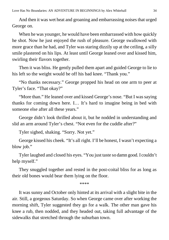And then it was wet heat and groaning and embarrassing noises that urged George on.

When he was younger, he would have been embarrassed with how quickly he shot. Now he just enjoyed the rush of pleasure. George swallowed with more grace than he had, and Tyler was staring dizzily up at the ceiling, a silly smile plastered on his lips. At least until George leaned over and kissed him, swirling their flavors together.

Then it was bliss. He gently pulled them apart and guided George to lie to his left so the weight would be off his bad knee. "Thank you."

"No thanks necessary." George propped his head on one arm to peer at Tyler's face. "That okay?"

"More than." He leaned over and kissed George's nose. "But I was saying thanks for coming down here. I… It's hard to imagine being in bed with someone else after all these years."

George didn't look thrilled about it, but he nodded in understanding and slid an arm around Tyler's chest. "Not even for the cuddle after?"

Tyler sighed, shaking. "Sorry. Not yet."

George kissed his cheek. "It's all right. I'll be honest, I wasn't expecting a blow job."

Tyler laughed and closed his eyes. "You just taste so damn good. I couldn't help myself."

They snuggled together and rested in the post-coital bliss for as long as their old bones would bear them lying on the floor.

\*\*\*\*

It was sunny and October only hinted at its arrival with a slight bite in the air. Still, a gorgeous Saturday. So when George came over after working the morning shift, Tyler suggested they go for a walk. The other man gave his knee a rub, then nodded, and they headed out, taking full advantage of the sidewalks that stretched through the suburban town.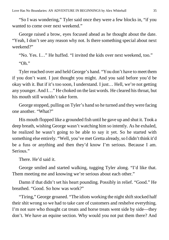"So I was wondering," Tyler said once they were a few blocks in, "if you wanted to come over next weekend."

George raised a brow, eyes focused ahead as he thought about the date. "Yeah, I don't see any reason why not. Is there something special about next weekend?"

"No. Yes. I…" He huffed. "I invited the kids over next weekend, too."

"Oh."

Tyler reached over and held George's hand. "You don't have to meet them if you don't want. I just thought you might. And you said before you'd be okay with it. But if it's too soon, I understand. I just… Hell, we're not getting any younger. And I…" He choked on the last words. He cleared his throat, but his mouth still wouldn't take form.

George stopped, pulling on Tyler's hand so he turned and they were facing one another. "What?"

His mouth flopped like a grounded fish until he gave up and shut it. Took a deep breath, wishing George wasn't watching him so intently. As he exhaled, he realized he wasn't going to be able to say it yet. So he started with something else entirely. "Well, you've met Gretta already, so I didn't think it'd be a fuss or anything and then they'd know I'm serious. Because I am. Serious."

There. He'd said it.

George smiled and started walking, tugging Tyler along. "I'd like that. Them meeting me and knowing we're serious about each other."

Damn if that didn't set his heart pounding. Possibly in relief. "Good." He breathed. "Good. So how was work?"

"Tiring," George groaned. "The idiots working the night shift stocked half their shit wrong so we had to take care of customers and reshelve everything. I'm not sure who thought cat treats and horse treats went side by side—they don't. We have an equine section. Why would you not put them there? And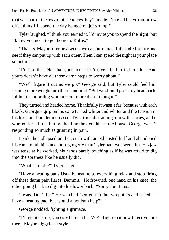that was one of the less idiotic choices they'd made. I'm glad I have tomorrow off. I think I'll spend the day being a major grump."

Tyler laughed. "I think you earned it. I'd invite you to spend the night, but I know you need to get home to Rufus."

"Thanks. Maybe after next week, we can introduce Rufe and Moriarty and see if they can put up with each other. Then I can spend the night at your place sometimes."

"I'd like that. Not that your house isn't nice," he hurried to add. "And yours doesn't have all those damn steps to worry about."

"We'll figure it out as we go," George said, but Tyler could feel him leaning more weight into their handhold. "But we should probably head back. I think this morning wore me out more than I thought."

They turned and headed home. Thankfully it wasn't far, because with each block, George's grip on his cane turned whiter and whiter and the tension in his lips and shoulder increased. Tyler tried distracting him with stories, and it worked for a little, but by the time they could see the house, George wasn't responding so much as grunting in pain.

Inside, he collapsed on the couch with an exhausted huff and abandoned his cane to rub his knee more gingerly than Tyler had ever seen him. His jaw was tense as he worked, his hands barely touching as if he was afraid to dig into the soreness like he usually did.

"What can I do?" Tyler asked.

"Have a heating pad? Usually heat helps everything relax and stop firing off these damn pain flares. Dammit." He frowned, one hand on his knee, the other going back to dig into his lower back. "Sorry about this."

"Jesus. Don't be." He watched George rub the two points and asked, "I have a heating pad, but would a hot bath help?"

George nodded, fighting a grimace.

"I'll get it set up, you stay here and… We'll figure out how to get you up there. Maybe piggyback style."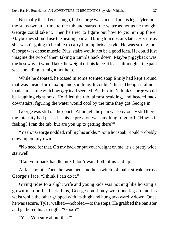Normally that'd get a laugh, but George was focused on his leg. Tyler took the steps two at a time to the tub and started the water as hot as he thought George could take it. Then he tried to figure out how to get him up there. Maybe they should use the heating pad and bring him upstairs later. He sure as shit wasn't going to be able to carry him up bridal-style. He was strong, but George was dense muscle. Plus, stairs would not be a good idea. He could just imagine the two of them taking a tumble back down. Maybe piggyback was the best way. It would take the weight off his knee at least, although if the pain was spreading, it might not help.

While he debated, he tossed in some scented soap Emily had kept around that was meant for relaxing and soothing. It couldn't hurt. Though it almost made him smile with how *gay* it all seemed. But he didn't think George would be laughing right now. He filled the tub, almost scalding, and headed back downstairs, figuring the water would cool by the time they got George in.

George was still on the couch. Although the pain was obviously still there, the intensity had passed if his expression was anything to go off. "How's it feeling? I ran the tub, but are you up to getting there?"

"Yeah." George nodded, rolling his ankle. "For a hot soak I could probably crawl up on my own."

"No need for that. On my back or put your weight on me, it's a pretty wide stairwell."

"Can your back handle me? I don't want both of us laid up."

A fair point. Then he watched another twitch of pain streak across George's face. "I think I can do it."

Giving rides to a slight wife and young kids was nothing like hoisting a grown man on his back. Plus, George could only wrap one leg around his waist while the other gripped with its thigh and hung awkwardly down. Once he was secure, Tyler walked—hobbled—to the steps. He grabbed the banister and gathered his strength. "Good?"

"Yes. You sure about this?"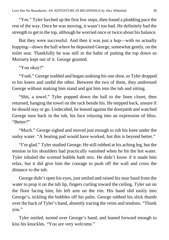"Yes." Tyler lurched up the first few steps, then found a plodding pace the rest of the way. Once he was moving, it wasn't too bad. He definitely had the strength to get to the top, although he worried once or twice about his balance.

But they were successful. And then it was just a hop—with no actually hopping—down the hall where he deposited George, somewhat gently, on the toilet seat. Thankfully he was still in the habit of putting the top down so Moriarty kept out of it. George grunted.

"You okay?"

"Yeah." George nodded and began undoing his one shoe, so Tyler dropped to his knees and undid the other. Between the two of them, they undressed George without making him stand and got him into the tub and sitting.

"Shit, a towel." Tyler popped down the hall to the linen closet, then returned, hanging the towel on the rack beside his. He stepped back, unsure if he should stay or go. Undecided, he leaned against the doorjamb and watched George ease back in the tub, his face relaxing into an expression of bliss. "Better?"

"Much." George sighed and moved just enough to rub his knee under the sudsy water. "A heating pad would have worked, but this is beyond better."

"I'm glad." Tyler studied George. He still rubbed at his aching leg, but the tension in his shoulders had practically vanished when he hit the hot water. Tyler inhaled the scented bubble bath mix. He didn't know if it made him relax, but it did give him the courage to push off the wall and cross the distance to the tub.

George didn't open his eyes, just smiled and raised his near hand from the water to prop it on the tub lip, fingers curling toward the ceiling. Tyler sat on the floor facing him, his left arm on the rim. His hand slid easily into George's, tickling the bubbles off his palm. George rubbed his slick thumb over the back of Tyler's hand, absently tracing the veins and tendons. "Thank you."

Tyler smiled, turned over George's hand, and leaned forward enough to kiss his knuckles. "You are very welcome."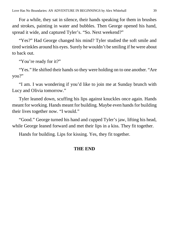For a while, they sat in silence, their hands speaking for them in brushes and strokes, painting in water and bubbles. Then George opened his hand, spread it wide, and captured Tyler's. "So. Next weekend?"

"Yes?" Had George changed his mind? Tyler studied the soft smile and tired wrinkles around his eyes. Surely he wouldn't be smiling if he were about to back out.

"You're ready for it?"

"Yes." He shifted their hands so they were holding on to one another. "Are you?"

"I am. I was wondering if you'd like to join me at Sunday brunch with Lucy and Olivia tomorrow."

Tyler leaned down, scuffing his lips against knuckles once again. Hands meant for working. Hands meant for building. Maybe even hands for building their lives together now. "I would."

"Good." George turned his hand and cupped Tyler's jaw, lifting his head, while George leaned forward and met their lips in a kiss. They fit together.

Hands for building. Lips for kissing. Yes, they fit together.

#### **THE END**